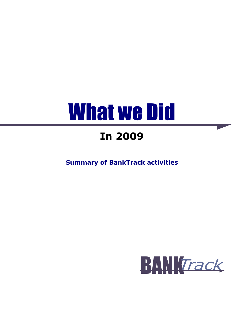# What we Did

# **In 2009**

**Summary of BankTrack activities** 

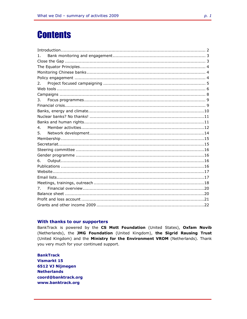# **Contents**

| 1 <sub>1</sub> |  |
|----------------|--|
|                |  |
|                |  |
|                |  |
|                |  |
| 2.             |  |
|                |  |
|                |  |
| 3.             |  |
|                |  |
|                |  |
|                |  |
|                |  |
| 4.             |  |
| 5.             |  |
|                |  |
|                |  |
|                |  |
|                |  |
| 6.             |  |
|                |  |
|                |  |
|                |  |
|                |  |
| 7 <sub>1</sub> |  |
|                |  |
|                |  |
|                |  |
|                |  |

#### With thanks to our supporters

BankTrack is powered by the CS Mott Foundation (United States), Oxfam Novib (Netherlands), the JMG Foundation (United Kingdom), the Sigrid Rausing Trust (United Kingdom) and the Ministry for the Environment VROM (Netherlands). Thank you very much for your continued support.

**BankTrack Vismarkt 15** 6512 VJ Nijmegen **Netherlands** coord@banktrack.org www.banktrack.org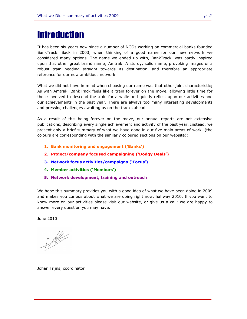# **Introduction**

It has been six years now since a number of NGOs working on commercial banks founded BankTrack. Back in 2003, when thinking of a good name for our new network we considered many options. The name we ended up with, BankTrack, was partly inspired upon that other great brand name; Amtrak. A sturdy, solid name, provoking images of a robust train heading straight towards its destination, and therefore an appropriate reference for our new ambitious network.

What we did not have in mind when choosing our name was that other joint characteristic; As with Amtrak, BankTrack feels like a train forever on the move, allowing little time for those involved to descend the train for a while and quietly reflect upon our activities and our achievements in the past year. There are always too many interesting developments and pressing challenges awaiting us on the tracks ahead.

As a result of this being forever on the move, our annual reports are not extensive publications, describing every single achievement and activity of the past year. Instead, we present only a brief summary of what we have done in our five main areas of work. (the colours are corresponding with the similarly coloured sections on our website):

- **1. Bank monitoring and engagement ('Banks')**
- **2. Project/company focused campaigning ('Dodgy Deals')**
- **3. Network focus activities/campaigns ('Focus')**
- **4. Member activities ('Members')**
- **5. Network development, training and outreach**

We hope this summary provides you with a good idea of what we have been doing in 2009 and makes you curious about what we are doing right now, halfway 2010. If you want to know more on our activities please visit our website, or give us a call; we are happy to answer every question you may have.

June 2010

 $\frac{1}{\sqrt{2\pi}}\int d^3x\sqrt{2\pi}dx\sqrt{2\pi}dx$ 

Johan Frijns, coordinator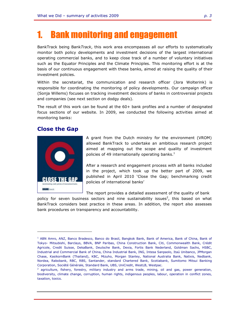# **Bank monitoring and engagement**

BankTrack being Bank*Track*, this work area encompasses all our efforts to systematically monitor both policy developments and investment decisions of the largest international operating commercial banks, and to keep close track of a number of voluntary initiatives such as the Equator Principles and the Climate Principles. This monitoring effort is at the basis of our continuous engagement with these banks, aimed at raising the quality of their investment policies.

Within the secretariat, the communication and research officer (Jora Wolterink) is responsible for coordinating the monitoring of policy developments. Our campaign officer (Sonja Willems) focuses on tracking investment decisions of banks in controversial projects and companies (see next section on dodgy deals).

The result of this work can be found at the 60+ bank profiles and a number of designated focus sections of our website. In 2009, we conducted the following activities aimed at monitoring banks:

#### **Close the Gap**



f

A grant from the Dutch ministry for the environment (VROM) allowed BankTrack to undertake an ambitious research project aimed at mapping out the scope and quality of investment policies of 49 internationally operating banks.<sup>1</sup>

After a research and engagement process with all banks included in the project, which took up the better part of 2009, we published in April 2010 'Close the Gap; benchmarking credit policies of international banks'

The report provides a detailed assessment of the quality of bank

policy for seven business sectors and nine sustainability issues<sup>2</sup>, this based on what BankTrack considers best practice in these areas. In addition, the report also assesses bank procedures on transparency and accountability.

<sup>&</sup>lt;sup>1</sup> ABN Amro, ANZ, Banco Bradesco, Banco do Brasil, Bangkok Bank, Bank of America, Bank of China, Bank of Tokyo- Mitsubishi, Barclays, BBVA, BNP Paribas, China Construction Bank, Citi, Commonwealth Bank, Crédit Agricole, Credit Suisse, DekaBank, Deutsche Bank, Dexia, Fortis Bank Nederland, Goldman Sachs, HSBC, Industrial and Commercial Bank of China, China Industrial Bank, ING, Intesa Sanpaolo, Itaú Unibanco, JPMorgan Chase, KasikornBank (Thailand), KBC, Mizuho, Morgan Stanley, National Australia Bank, Natixis, Nedbank, Nordea, Rabobank, RBC, RBS, Santander, standard Chartered Bank, Scotiabank, Sumitomo Mitsui Banking Corporation, Société Générale, Standard Bank, UBS, UniCredit, WestLB, Westpac.

<sup>&</sup>lt;sup>2</sup> agriculture, fishery, forestry, military industry and arms trade, mining, oil and gas, power generation, biodiversity, climate change, corruption, human rights, indigenous peoples, labour, operation in conflict zones, taxation, toxics.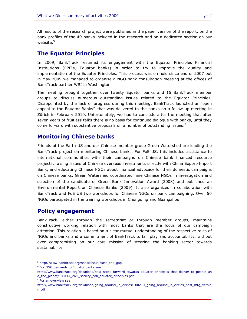All results of the research project were published in the paper version of the report, on the bank profiles of the 49 banks included in the research and on a dedicated section on our website. $3$ 

#### **The Equator Principles**

In 2009, BankTrack resumed its engagement with the Equator Principles Financial Institutions (EPFIs, Equator banks) in order to try to improve the quality and implementation of the Equator Principles. This process was on hold since end of 2007 but in May 2009 we managed to organise a NGO-bank consultation meeting at the offices of BankTrack partner WRI in Washington.

The meeting brought together over twenty Equator banks and 15 BankTrack member groups to discuss numerous outstanding issues related to the Equator Principles. Disappointed by the lack of progress during this meeting, BankTrack launched an 'open appeal to the Equator Banks<sup>,4</sup> that was delivered to the banks on a follow up meeting in Zürich in February 2010. Unfortunately, we had to conclude after the meeting that after seven years of fruitless talks there is no basis for continued dialogue with banks, until they come forward with substantive proposals on a number of outstanding issues.<sup>5</sup>

#### **Monitoring Chinese banks**

Friends of the Earth US and our Chinese member group Green Watershed are leading the BankTrack project on monitoring Chinese banks. For FoE US, this included assistance to international communities with their campaigns on Chinese bank financed resource projects, raising issues of Chinese overseas investments directly with China Export-Import Bank, and educating Chinese NGOs about financial advocacy for their domestic campaigns on Chinese banks. Green Watershed coordinated nine Chinese NGOs in investigation and selection of the candidate of Green Bank Innovation Award (2008) and published an Environmental Report on Chinese Banks (2009). It also organized in collaboration with BankTrack and FoE US two workshops for Chinese NGOs on bank campaigning. Over 50 NGOs participated in the training workshops in Chongqing and Guangzhou.

### **Policy engagement**

BankTrack, either through the secretariat or through member groups, maintains constructive working relation with most banks that are the focus of our campaign attention. This relation is based on a clear mutual understanding of the respective roles of NGOs and banks and a commitment of BankTrack to fair play and accountability, without ever compromising on our core mission of steering the banking sector towards sustainability

f

<sup>3</sup> http://www.banktrack.org/show/focus/close\_the\_gap

<sup>4</sup> For NGO demands to Equator banks see:

http://www.banktrack.org/download/bold\_steps\_forward\_towards\_equator\_principles\_that\_deliver\_to\_people\_an d\_the\_planet/100114\_civil\_society\_call\_equator\_principles.pdf

<sup>&</sup>lt;sup>5</sup> For an overview see:

http://www.banktrack.org/download/going\_around\_in\_circles/100210\_going\_around\_in\_circles\_post\_mtg\_versio n.pdf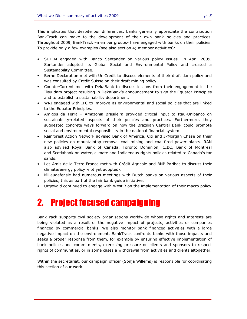This implicates that despite our differences, banks generally appreciate the contribution BankTrack can make to the development of their own bank policies and practices. Throughout 2009, BankTrack –member groups- have engaged with banks on their policies. To provide only a few examples (see also section 4; member activities):

- SETEM engaged with Banco Santander on various policy issues. In April 2009, Santander adopted its Global Social and Environmental Policy and created a Sustainability Committee.
- Berne Declaration met with UniCredit to discuss elements of their draft dam policy and was consulted by Credit Suisse on their draft mining policy.
- CounterCurrent met with DekaBank to discuss lessons from their engagement in the Ilisu dam project resulting in DekaBank's announcement to sign the Equator Principles and to establish a sustainability department.
- WRI engaged with IFC to improve its environmental and social policies that are linked to the Equator Principles.
- Amigos da Terra Amazonia Brasileira provided critical input to Itau-Unibanco on sustainability-related aspects of their policies and practices. Furthermore, they suggested concrete ways forward on how the Brazilian Central Bank could promote social and environmental responsibility in the national financial system.
- Rainforest Action Network advised Bank of America, Citi and JPMorgan Chase on their new policies on mountaintop removal coal mining and coal-fired power plants. RAN also advised Royal Bank of Canada, Toronto Dominion, CIBC, Bank of Montreal and Scotiabank on water, climate and Indigenous rights policies related to Canada's tar sands.
- Les Amis de la Terre France met with Crédit Agricole and BNP Paribas to discuss their climate/energy policy -not yet adopted-.
- Milieudefensie had numerous meetings with Dutch banks on various aspects of their policies, this as part of the fair bank guide initiative.
- Urgewald continued to engage with WestlB on the implementation of their macro policy

# 2. Project focused campaigning

BankTrack supports civil society organisations worldwide whose rights and interests are being violated as a result of the negative impact of projects, activities or companies financed by commercial banks. We also monitor bank financed activities with a large negative impact on the environment. BankTrack confronts banks with those impacts and seeks a proper response from them, for example by ensuring effective implementation of bank policies and commitments, exercising pressure on clients and sponsors to respect rights of communities, or in some cases a withdrawal from activities and clients altogether.

Within the secretariat, our campaign officer (Sonja Willems) is responsible for coordinating this section of our work.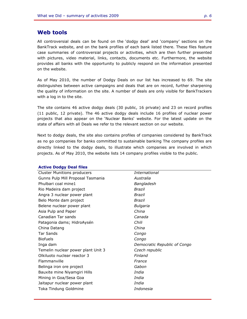#### **Web tools**

All controversial deals can be found on the 'dodgy deal' and 'company' sections on the BankTrack website, and on the bank profiles of each bank listed there. These files feature case summaries of controversial projects or activities, which are then further presented with pictures, video material, links, contacts, documents etc. Furthermore, the website provides all banks with the opportunity to publicly respond on the information presented on the website.

As of May 2010, the number of Dodgy Deals on our list has increased to 69. The site distinguishes between active campaigns and deals that are on record, further sharpening the quality of information on the site. A number of deals are only visible for BankTrackers with a log in to the site.

The site contains 46 active dodgy deals (30 public, 16 private) and 23 on record profiles (11 public, 12 private). The 46 active dodgy deals include 16 profiles of nuclear power projects that also appear on the 'Nuclear Banks' website. For the latest update on the state of affairs with all Deals we refer to the relevant section on our website.

Next to dodgy deals, the site also contains profiles of companies considered by BankTrack as no go companies for banks committed to sustainable banking The company profiles are directly linked to the dodgy deals, to illustrate which companies are involved in which projects. As of May 2010, the website lists 14 company profiles visible to the public.

| <b>ALLIVE DUUYY DEAL ILLES</b>     |                              |
|------------------------------------|------------------------------|
| <b>Cluster Munitions producers</b> | International                |
| Gunns Pulp Mill Proposal Tasmania  | Australia                    |
| Phulbari coal mine1                | Bangladesh                   |
| Rio Madeira dam project            | Brazil                       |
| Angra 3 nuclear power plant        | <b>Brazil</b>                |
| Belo Monte dam project             | Brazil                       |
| Belene nuclear power plant         | Bulgaria                     |
| Asia Pulp and Paper                | China                        |
| Canadian Tar sands                 | Canada                       |
| Patagonia dams; HidroAysén         | Chili                        |
| China Datang                       | China                        |
| <b>Tar Sands</b>                   | Congo                        |
| <b>Biofuels</b>                    | Congo                        |
| Inga dam                           | Democratic Republic of Congo |
| Temelin nuclear power plant Unit 3 | Czech republic               |
| Olkiluoto nuclear reactor 3        | Finland                      |
| Flammanville                       | France                       |
| Belinga iron ore project           | Gabon                        |
| Bauxite mine Niyamgiri Hills       | India                        |
| Mining in Goa/Sesa Goa             | India                        |
| Jaitapur nuclear power plant       | India                        |
| Toka Tindung Goldmine              | Indonesia                    |
|                                    |                              |

#### **Active Dodgy Deal files**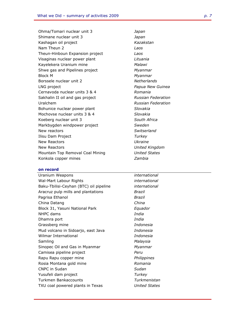Ohma/Tomari nuclear unit 3 *Japan*  Shimane nuclear unit 3 *Japan*  Kashagan oil project *Kazakstan*  Nam Theun 2 *Laos*  Theun-Hinboun Expansion project *Laos*  Visaginas nuclear power plant *Lituania*  Kayelekera Uranium mine *Malawi*  Shwe gas and Pipelines project *Myanmar*  Block M *Myanmar*  Borssele nuclear unit 2 *Netherlands*  LNG project *Papua New Guinea*  Cernavoda nuclear units 3 & 4 *Romania*  Sakhalin II oil and gas project *Russian Federation*  Uralchem *Russian Federation*  Bohunice nuclear power plant *Slovakia*  Mochovse nuclear units 3 & 4 *Slovakia*  Koeberg nuclear unit 3 *South Africa*  Markbygden windpower project *Sweden*  New reactors *Switserland*  Ilisu Dam Project *Turkey*  New Reactors **CONFIDENTIAL CONTROL** New Reactors *United Kingdom*  Mountain Top Removal Coal Mining *United States*  Konkola copper mines *Zambia* 

#### **on record**

Uranium Weapons *international*  Wal-Mart Labour Rights *international*  Baku-Tbilisi-Ceyhan (BTC) oil pipeline *international*  Aracruz pulp mills and plantations *Brazil*  Pagrisa Ethanol *Brazil*  China Datang *China*  Block 31, Yasuni National Park *Equador*  NHPC dams *India*  Dhamra port *India*  Grassberg mine *Indonesia*  Mud volcano in Sidoarjo, east Java *Indonesia*  Wilmar International *Indonesia*  Samling *Malaysia*  Sinopec Oil and Gas in Myanmar *Myanmar*  Camisea pipeline project *Peru*  Rapu Rapu copper mine *Philippines*  Rosia Montana gold mine *Romania*  CNPC in Sudan *Sudan*  Yusufeli dam project *Turkey*  Turkmen Bankaccounts *Turkmenistan*  TXU coal powered plants in Texas *United States*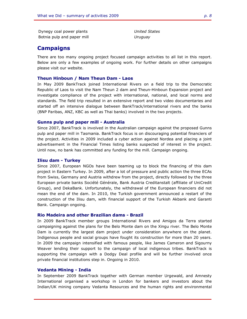Dynegy coal power plants *United States*  Botnia pulp and paper mill *Uruguay* 

#### **Campaigns**

There are too many ongoing project focused campaign activities to all list in this report. Below are only a few examples of ongoing work. For further details on other campaigns please visit our website.

#### **Theun Hinboun / Nam Theun Dam - Laos**

In May 2009 BankTrack joined International Rivers on a field trip to the Democratic Republic of Laos to visit the Nam Theun 2 dam and Theun-Hinboun Expansion project and investigate compliance of the project with international, national, and local norms and standards. The field trip resulted in an extensive report and two video documentaries and started off an intensive dialogue between BankTrack/international rivers and the banks (BNP Paribas, ANZ, KBC as well as Thai banks) involved in the two projects.

#### **Gunns pulp and paper mill - Australia**

Since 2007, BankTrack is involved in the Australian campaign against the proposed Gunns pulp and paper mill in Tasmania. BankTrack focus is on discouraging potential financiers of the project. Activities in 2009 included a cyber action against Nordea and placing a joint advertisement in the Financial Times listing banks suspected of interest in the project. Until now, no bank has committed any funding for the mill. Campaign ongoing.

#### **Ilisu dam - Turkey**

Since 2007, European NGOs have been teaming up to block the financing of this dam project in Eastern Turkey. In 2009, after a lot of pressure and public action the three ECAs from Swiss, Germany and Austria withdrew from the project, directly followed by the three European private banks Société Générale, Bank Austria Creditanstalt (affiliate of UniCredit Group), and DekaBank. Unfortunately, the withdrawal of the European financiers did not mean the end of the dam. In 2010, the Turkish government announced a restart of the construction of the Ilisu dam, with financial support of the Turkish Akbank and Garanti Bank. Campaign ongoing.

#### **Rio Madeira and other Brazilian dams - Brazil**

In 2009 BankTrack member groups International Rivers and Amigos da Terra started campaigning against the plans for the Belo Monte dam on the Xingu river. The Belo Monte Dam is currently the largest dam project under consideration anywhere on the planet. Indigenous people and social groups have fought its construction for more than 20 years. In 2009 the campaign intensified with famous people, like James Cameron and Sigourny Weaver lending their support to the campaign of local indigenous tribes. BankTrack is supporting the campaign with a Dodgy Deal profile and will be further involved once private financial institutions step in. Ongoing in 2010.

#### **Vedanta Mining - India**

In September 2009 BankTrack together with German member Urgewald, and Amnesty International organised a workshop in London for bankers and investors about the Indian/UK mining company Vedanta Resources and the human rights and environmental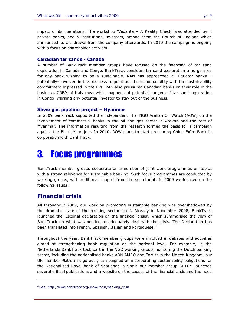impact of its operations. The workshop 'Vedanta – A Reality Check' was attended by 8 private banks, and 5 institutional investors, among them the Church of England which announced its withdrawal from the company afterwards. In 2010 the campaign is ongoing with a focus on shareholder activism.

#### **Canadian tar sands - Canada**

A number of BankTrack member groups have focused on the financing of tar sand exploration in Canada and Congo. BankTrack considers tar sand exploration a no go area for any bank wishing to be a sustainable. RAN has approached all Equator banks – potentially- involved in the business to point out the incompatibility with the sustainability commitment expressed in the EPs. RAN also pressured Canadian banks on their role in the business. CRBM of Italy meanwhile mapped out potential dangers of tar sand exploration in Congo, warning any potential investor to stay out of the business.

#### **Shwe gas pipeline project – Myanmar**

In 2009 BankTrack supported the independent Thai NGO Arakan Oil Watch (AOW) on the involvement of commercial banks in the oil and gas sector in Arakan and the rest of Myanmar. The information resulting from the research formed the basis for a campaign against the Block M project. In 2010, AOW plans to start pressuring China ExIm Bank in corporation with BankTrack.

# 3. Focus programmes

BankTrack member groups cooperate on a number of joint work programmes on topics with a strong relevance for sustainable banking, Such focus programmes are conducted by working groups, with additional support from the secretariat. In 2009 we focused on the following issues:

#### **Financial crisis**

f

All throughout 2009, our work on promoting sustainable banking was overshadowed by the dramatic state of the banking sector itself. Already in November 2008, BankTrack launched the 'Escorial declaration on the financial crisis', which summarised the view of BankTrack on what was needed to adequately deal with the crisis. The Declaration has been translated into French, Spanish, Italian and Portuguese.<sup>6</sup>

Throughout the year, BankTrack member groups were involved in debates and activities aimed at strengthening bank regulation on the national level. For example, in the Netherlands BankTrack took part in the NGO working Group monitoring the Dutch banking sector, including the nationalised banks ABN AMRO and Fortis; in the United Kingdom, our UK member Platform vigorously campaigned on incorporating sustainability obligations for the Nationalised Royal bank of Scotland; in Spain our member group SETEM launched several critical publications and a website on the causes of the financial crisis and the need

<sup>6</sup> See: http://www.banktrack.org/show/focus/banking\_crisis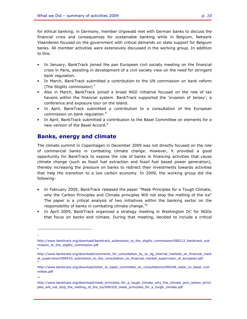for ethical banking; in Germany, member Urgewald met with German banks to discuss the financial crisis and consequences for sustainable banking while in Belgium, Netwerk Vlaanderen focused on the government with critical demands on state support for Belgium banks. All member activities were extensively discussed in the working group. In addition to this:

- In January, BankTrack joined the pan European civil society meeting on the financial crisis in Paris, assisting in development of a civil society view on the need for stringent bank regulation.
- In March, BankTrack submitted a contribution to the UN commission on bank reform (The Stiglitz commission) $<sup>7</sup>$ </sup>
- Also in March, BankTrack joined a broad NGO initiative focused on the role of tax havens within the financial system. BankTrack supported the 'invasion of Jersey'; a conference and exposure tour on the island.
- In April, BankTrack submitted a contribution to a consultation of the European commission on bank regulation.<sup>8</sup>
- In April, BankTrack submitted a contribution to the Basel Committee on elements for a new version of the Basel Accord.<sup>9</sup>

### **Banks, energy and climate**

The climate summit in Copenhagen in December 2009 was not directly focused on the role of commercial banks in combating climate change. However, it provided a good opportunity for BankTrack to expose the role of banks in financing activities that cause climate change (such as fossil fuel extraction and fossil fuel based power generation), thereby increasing the pressure on banks to redirect their investments towards activities that help the transition to a low carbon economy. In 2009, the working group did the following:

- In February 2009, BankTrack released the paper "Meek Principles for a Tough Climate; why the Carbon Principles and Climate principles Will not stop the melting of the ice" The paper is a critical analysis of two initiatives within the banking sector on the responsibility of banks in combating climate change.<sup>10</sup>
- In April 2009, BankTrack organized a strategy meeting in Washington DC for NGOs that focus on banks and climate. During that meeting, decided to include a critical

8

9

<sup>-</sup>7

http://www.banktrack.org/download/banktrack\_submission\_to\_the\_stiglitz\_commission/090212\_banktrack\_sub mission\_to\_the\_stiglitz\_commission.pdf

http://www.banktrack.org/download/comments\_for\_consultation\_by\_ec\_dg\_internal\_markets\_on\_financial\_mark et\_supervision/090410\_submission\_to\_the\_consultation\_on\_financial\_market\_supervision\_of\_european.pdf

http://www.banktrack.org/download/letter\_to\_basel\_committee\_on\_consultations/090306\_letter\_to\_basel\_com mittee.pdf

<sup>10</sup>

http://www.banktrack.org/download/meek\_principles\_for\_a\_tough\_climate\_why\_the\_climate\_and\_carbon\_princi ples\_will\_not\_stop\_the\_melting\_of\_the\_ice/090329\_meek\_principles\_for\_a\_tough\_climate.pdf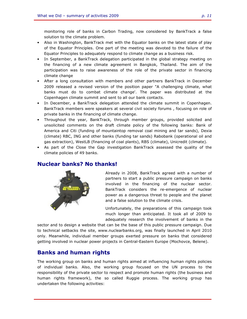monitoring role of banks in Carbon Trading, now considered by BankTrack a false solution to the climate problem.

- Also in Washington, BankTrack met with the Equator banks on the latest state of play of the Equator Principles. One part of the meeting was devoted to the failure of the Equator Principles to adequately respond to climate change as a business risk.
- In September, a BankTrack delegation participated in the global strategy meeting on the financing of a new climate agreement in Bangkok, Thailand. The aim of the participation was to raise awareness of the role of the private sector in financing climate change
- After a long consultation with members and other partners BankTrack in December 2009 released a revised version of the position paper "A challenging climate, what banks must do to combat climate change'. The paper was distributed at the Copenhagen climate summit and sent to all our bank contacts.
- In December, a BankTrack delegation attended the climate summit in Copenhagen. BankTrack members were speakers at several civil society forums , focusing on role of private banks in the financing of climate change.
- Throughout the year, BankTrack, through member groups, provided solicited and unsolicited comments on the draft climate policy of the following banks: Bank of America and Citi (funding of mountaintop removal coal mining and tar sands), Dexia (climate) RBC, ING and other banks (funding tar sands) Rabobank (operational oil and gas extraction), WestLB (financing of coal plants), RBS (climate), Unicredit (climate).
- As part of the Close the Gap investigation BankTrack assessed the quality of the climate policies of 49 banks.

### **Nuclear banks? No thanks!**



Already in 2008, BankTrack agreed with a number of partners to start a public pressure campaign on banks involved in the financing of the nuclear sector. BankTrack considers the re-emergence of nuclear power as a dangerous threat to people and the planet and a false solution to the climate crisis.

Unfortunately, the preparations of this campaign took much longer than anticipated. It took all of 2009 to adequately research the involvement of banks in the

sector and to design a website that can be the base of this public pressure campaign. Due to technical setbacks the site, www.nuclearbanks.org, was finally launched in April 2010 only. Meanwhile, individual member groups exerted pressure on banks that considered getting involved in nuclear power projects in Central-Eastern Europe (Mochovce, Belene).

### **Banks and human rights**

The working group on banks and human rights aimed at influencing human rights policies of individual banks. Also, the working group focused on the UN process to the responsibility of the private sector to respect and promote human rights (the business and human rights framework), the so called Ruggie process. The working group has undertaken the following activities: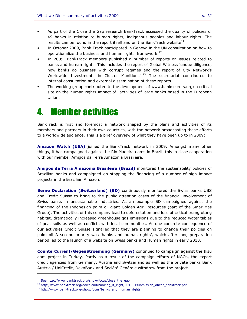- As part of the Close the Gap research BankTrack assessed the quality of policies of 49 banks in relation to human rights, indigenous peoples and labour rights. The results can be found in the report itself and on the BankTrack website $11$
- In October 2009, Bank Track participated in Geneva in the UN consultation on how to operationalize the business and human rights' framework.<sup>12</sup>
- In 2009, BankTrack members published a number of reports on issues related to banks and human rights. This includes the report of Global Witness 'undue diligence, how banks do business with corrupt regimes and the report of City Network's Worldwide Investments in Cluster Munitions".<sup>13</sup> The secretariat contributed to internal consultation and external dissemination of these reports.
- The working group contributed to the development of www.banksecrets.org; a critical site on the human rights impact of activities of large banks based in the European Union.

# 4. Member activities

BankTrack is first and foremost a network shaped by the plans and activities of its members and partners in their own countries, with the network broadcasting these efforts to a worldwide audience. This is a brief overview of what they have been up to in 2009:

**Amazon Watch (USA)** joined the BankTrack network in 2009. Amongst many other things, it has campaigned against the Rio Madeira dams in Brazil, this in close cooperation with our member Amigos da Terra Amazonia Brasileira.

**Amigos da Terra Amazonia Brasileira (Brazil)** monitored the sustainability policies of Brazilian banks and campaigned on stopping the financing of a number of high impact projects in the Brazilian Amazon.

**Berne Declaration (Switzerland) (BD)** continuously monitored the Swiss banks UBS and Credit Suisse to bring to the public attention cases of the financial involvement of Swiss banks in unsustainable industries. As an example BD campaigned against the financing of the Indonesian palm oil giant Golden Agri Resources (part of the Sinar Mas Group). The activities of this company lead to deforestation and loss of critical orang utang habitat, dramatically increased greenhouse gas emissions due to the reduced water tables of peat soils as well as conflicts with local communities. As one concrete consequence of our activities Credit Suisse signalled that they are planning to change their policies on palm oil A second priority was 'banks and human rights', which after long preparation period led to the launch of a website on Swiss banks and Human rights in early 2010.

**CounterCurrent/GegenStroemung (Germany)** continued to campaign against the Ilisu dam project in Turkey. Partly as a result of the campaign efforts of NGOs, the export credit agencies from Germany, Austria and Switzerland as well as the private banks Bank Austria / UniCredit, DekaBank and Société Générale withdrew from the project.

-

 $11$  See http://www.banktrack.org/show/focus/close\_the\_gap

<sup>&</sup>lt;sup>12</sup> http://www.banktrack.org/download/banking\_it\_right/091001submission\_ohchr\_banktrack.pdf

<sup>&</sup>lt;sup>13</sup> http://www.banktrack.org/show/focus/banks\_and\_human\_rights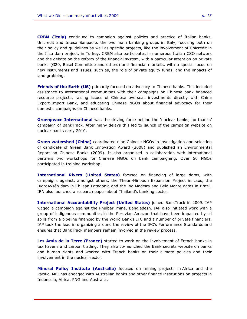**CRBM (Italy)** continued to campaign against policies and practice of Italian banks, Unicredit and Intesa Sanpaolo. the two main banking groups in Italy, focusing both on their policy and guidelines as well as specific projects, like the involvement of Unicredit in the Ilisu dam project, in Turkey. CRBM also participates in numerous Italian CSO network and the debate on the reform of the financial system, with a particular attention on private banks (G20, Basel Committee and others) and financial markets, with a special focus on new instruments and issues, such as, the role of private equity funds, and the impacts of land grabbing.

**Friends of the Earth (US)** primarily focused on advocacy to Chinese banks. This included assistance to international communities with their campaigns on Chinese bank financed resource projects, raising issues of Chinese overseas investments directly with China Export-Import Bank, and educating Chinese NGOs about financial advocacy for their domestic campaigns on Chinese banks.

**Greenpeace International** was the driving force behind the 'nuclear banks, no thanks' campaign of BankTrack. After many delays this led to launch of the campaign website on nuclear banks early 2010.

**Green watershed (China)** coordinated nine Chinese NGOs in investigation and selection of candidate of Green Bank Innovation Award (2008) and published an Environmental Report on Chinese Banks (2009). It also organized in collaboration with international partners two workshops for Chinese NGOs on bank campaigning. Over 50 NGOs participated in training workshop.

**International Rivers (United States)** focused on financing of large dams, with campaigns against, amongst others, the Theun-Hinboun Expansion Project in Laos, the HidroAysén dam in Chilean Patagonia and the Rio Madeira and Belo Monte dams in Brazil. IRN also launched a research paper about Thailand's banking sector.

**International Accountability Project (United States)** joined BankTrack in 2009. IAP waged a campaign against the Phulbari mine, Bangladesh. IAP also initiated work with a group of indigenous communities in the Peruvian Amazon that have been impacted by oil spills from a pipeline financed by the World Bank's IFC and a number of private financiers. IAP took the lead in organizing around the review of the IFC's Performance Standards and ensures that BankTrack members remain involved in the review process.

**Les Amis de la Terre (France)** started to work on the involvement of French banks in tax havens and carbon trading. They also co-launched the Bank secrets website on banks and human rights and worked with French banks on their climate policies and their involvement in the nuclear sector.

**Mineral Policy Institute (Australia)** focused on mining projects in Africa and the Pacific. MPI has engaged with Australian banks and other finance institutions on projects in Indonesia, Africa, PNG and Australia.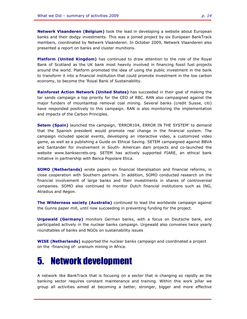**Netwerk Vlaanderen (Belgium)** took the lead in developing a website about European banks and their dodgy investments. This was a joined project by six European BankTrack members, coordinated by Netwerk Vlaanderen. In October 2009, Netwerk Vlaanderen also presented a report on banks and cluster munitions.

**Platform (United Kingdom)** has continued to draw attention to the role of the Royal Bank of Scotland as the UK bank most heavily involved in financing fossil fuel projects around the world. Platform promoted the idea of using the public investment in the bank to transform it into a financial institution that could promote investment in the low carbon economy, to become the 'Royal Bank of Sustainability.

**Rainforest Action Network (United States)** has succeeded in their goal of making the tar sands campaign a top priority for the CEO of RBC. RAN also campaigned against the major funders of mountaintop removal coal mining. Several banks (credit Suisse, citi) have responded positively to this campaign. RAN is also monitoring the implementation and impacts of the Carbon Principles.

**Setem (Spain)** launched the campaign, 'ERROR104, ERROR IN THE SYSTEM' to demand that the Spanish president would promote real change in the financial system. The campaign included special events, developing an interactive video, a customized video game, as well as a publishing a Guide on Ethical Saving. SETEM campaigned against BBVA and Santander for involvement in South- American dam projects and co-launched the website www.banksecrets.org. SETEM has actively supported FIARE, an ethical bank initiative in partnership with Banca Popolare Etica.

**SOMO (Netherlands)** wrote papers on financial liberalisation and financial reforms, in close cooperation with Southern partners. In addition, SOMO conducted research on the financial involvement of large banks and their investments in shares of controversial companies. SOMO also continued to monitor Dutch financial institutions such as ING, Atradius and Aegon.

**The Wilderness society (Australia)** continued to lead the worldwide campaign against the Gunns paper mill, until now succeeding in preventing funding for the project.

**Urgewald (Germany)** monitors German banks, with a focus on Deutsche bank, and participated actively in the nuclear banks campaign. Urgewald also convenes twice yearly roundtables of banks and NGOs on sustainability issues

**WISE (Netherlands)** supported the nuclear banks campaign and coordinated a project on the -financing of- uranium mining in Africa.

# 5. Network development

A network like BankTrack that is focusing on a sector that is changing so rapidly as the banking sector requires constant maintenance and training. Within this work pillar we group all activities aimed at becoming a better, stronger, bigger and more effective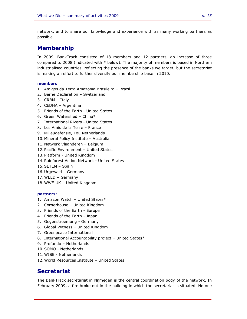network, and to share our knowledge and experience with as many working partners as possible.

### **Membership**

In 2009, BankTrack consisted of 18 members and 12 partners, an increase of three compared to 2008 (indicated with \* below). The majority of members is based in Northern industrialised countries, reflecting the presence of the banks we target, but the secretariat is making an effort to further diversify our membership base in 2010.

#### **members**

- 1. Amigos da Terra Amazonia Brasileira Brazil
- 2. Berne Declaration Switzerland
- 3. CRBM Italy
- 4. CEDHA Argentina
- 5. Friends of the Earth United States
- 6. Green Watershed China\*
- 7. International Rivers United States
- 8. Les Amis de la Terre France
- 9. Milieudefensie, FoE Netherlands
- 10. Mineral Policy Institute Australia
- 11. Netwerk Vlaanderen Belgium
- 12. Pacific Environment United States
- 13. Platform United Kingdom
- 14. Rainforest Action Network United States
- 15. SETEM Spain
- 16. Urgewald Germany
- 17. WEED Germany
- 18. WWF-UK United Kingdom

#### **partners**:

- 1. Amazon Watch United States\*
- 2. Cornerhouse United Kingdom
- 3. Friends of the Earth Europe
- 4. Friends of the Earth Japan
- 5. Gegenstroemung Germany
- 6. Global Witness United Kingdom
- 7. Greenpeace International
- 8. International Accountability project United States\*
- 9. Profundo Netherlands
- 10. SOMO Netherlands
- 11. WISE Netherlands
- 12. World Resources Institute United States

### **Secretariat**

The BankTrack secretariat in Nijmegen is the central coordination body of the network. In February 2009, a fire broke out in the building in which the secretariat is situated. No one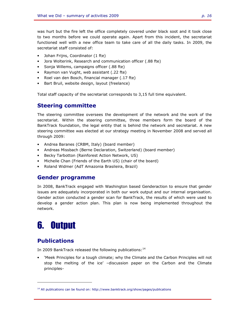was hurt but the fire left the office completely covered under black soot and it took close to two months before we could operate again. Apart from this incident, the secretariat functioned well with a new office team to take care of all the daily tasks. In 2009, the secretariat staff consisted of:

- Johan Frijns, Coordinator (1 fte)
- Jora Wolterink, Research and communication officer (.88 fte)
- Sonja Willems, campaigns officer (.88 fte)
- Raymon van Vught, web assistant (.22 fte)
- Roel van den Bosch, financial manager (.17 fte)
- Bart Bruil, website design, layout (freelance)

Total staff capacity of the secretariat corresponds to 3,15 full time equivalent.

### **Steering committee**

The steering committee oversees the development of the network and the work of the secretariat. Within the steering committee, three members form the board of the BankTrack foundation, the legal entity that is behind the network and secretariat. A new steering committee was elected at our strategy meeting in November 2008 and served all through 2009:

- Andrea Baranes (CRBM, Italy) (board member)
- Andreas Missbach (Berne Declaration, Switzerland) (board member)
- Becky Tarbotton (Rainforest Action Network, US)
- Michelle Chan (Friends of the Earth US) (chair of the board)
- Roland Widmer (AdT Amazonia Brasileira, Brazil)

#### **Gender programme**

In 2008, BankTrack engaged with Washington based Genderaction to ensure that gender issues are adequately incorporated in both our work output and our internal organisation. Gender action conducted a gender scan for BankTrack, the results of which were used to develop a gender action plan. This plan is now being implemented throughout the network.

# 6. Output

## **Publications**

f

In 2009 BankTrack released the following publications:<sup>14</sup>

• 'Meek Principles for a tough climate; why the Climate and the Carbon Principles will not stop the melting of the ice' –discussion paper on the Carbon and the Climate principles-

 $14$  All publications can be found on: http://www.banktrack.org/show/pages/publications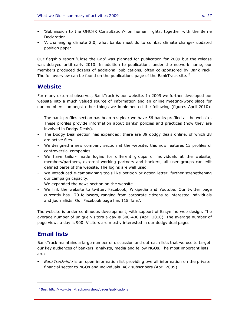- 'Submission to the OHCHR Consultation'- on human rights, together with the Berne Declaration
- 'A challenging climate 2.0, what banks must do to combat climate change- updated position paper.

Our flagship report 'Close the Gap' was planned for publication for 2009 but the release was delayed until early 2010. In addition to publications under the network name, our members produced dozens of additional publications, often co-sponsored by BankTrack. The full overview can be found on the publications page of the BankTrack site.<sup>15</sup>

### **Website**

For many external observes, BankTrack *is* our website. In 2009 we further developed our website into a much valued source of information and an online meeting/work place for our members. amongst other things we implemented the following (figures April 2010):

- The bank profiles section has been restyled: we have 56 banks profiled at the website. These profiles provide information about banks' policies and practices (how they are involved in Dodgy Deals).
- The Dodgy Deal section has expanded: there are 39 dodgy deals online, of which 28 are active files.
- We designed a new company section at the website; this now features 13 profiles of controversial companies.
- We have tailor- made logins for different groups of individuals at the website; members/partners, external working partners and bankers, all user groups can edit defined parte of the website. The logins are well used.
- We introduced e-campaigning tools like petition or action letter, further strengthening our campaign capacity.
- We expanded the news section on the website
- We link the website to twitter, Facebook, Wikipedia and Youtube. Our twitter page currently has 170 followers, ranging from corporate citizens to interested individuals and journalists. Our Facebook page has 115 'fans'.

The website is under continuous development, with support of Easymind web design. The average number of unique visitors a day is 300-400 (April 2010). The average number of page views a day is 900. Visitors are mostly interested in our dodgy deal pages.

### **Email lists**

f

BankTrack maintains a large number of discussion and outreach lists that we use to target our key audiences of bankers, analysts, media and fellow NGOs. The most important lists are:

• *BankTrack-info* is an open information list providing overall information on the private financial sector to NGOs and individuals. 487 subscribers (April 2009)

<sup>15</sup> See: http://www.banktrack.org/show/pages/publications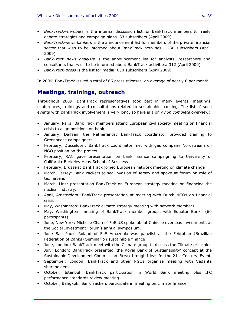- *BankTrack-members* is the internal discussion list for BankTrack members to freely debate strategies and campaign plans. 83 subscribers (April 2009)
- *BankTrack-news bankers* is the announcement list for members of the private financial sector that wish to be informed about BankTrack activities. 1230 subscribers (April 2009)
- *BankTrack news analysts* is the announcement list for analysts, researchers and consultants that wish to be informed about BankTrack activities: 312 (April 2009)
- *BankTrack-press* is the list for media. 630 subscribers (April 2009)

In 2009, BankTrack issued a total of 65 press releases, an average of nearly 6 per month.

### **Meetings, trainings, outreach**

Throughout 2009, BankTrack representatives took part in many events, meetings, conferences, trainings and consultations related to sustainable banking. The list of such events with BankTrack involvement is very long, so here is a only *non complete* overview:

- January, Paris: BankTrack members attend European civil society meeting on financial crisis to align positions on bank
- January, Dalfsen, the Netherlands: BankTrack coordinator provided training to Greenpeace campaigners.
- February, Düsseldorf: BankTrack coordinator met with gas company Nordstream on NGO position on the project
- February, RAN gave presentation on bank finance campaigning to University of California-Berkeley Haas School of Business
- February, Brussels: BankTrack joined European network meeting on climate change
- March, Jersey: BankTrackers joined invasion of Jersey and spoke at forum on role of tax havens
- March, Linz: presentation BankTrack on European strategy meeting on financing the nuclear industry.
- April, Amsterdam: BankTrack presentation at meeting with Dutch NGOs on financial crisis
- May, Washington: BankTrack climate strategy meeting with network members
- May, Washington: meeting of BankTrack member groups with Equator Banks (60 participants)
- June, New York: Michelle Chan of FoE US spoke about Chinese overseas investments at the Social Investment Forum's annual symposium.
- June Sao Paulo Roland of FoE Amazonia was panelist at the Febraban (Brazilian Federation of Banks) Seminar on sustainable finance
- June, London: BankTrack meet with the Climate group to discuss the Climate principles
- July, London: BankTrack presented 'the Royal Bank of Sustainability' concept at the Sustainable Development Commission 'Breakthrough Ideas for the 21st Century' Event
- September, London: BankTrack and other NGOs organise meeting with Vedanta shareholders
- October, Istanbul: BankTrack participation in World Bank meeting plus IFC performance standards review meeting
- October, Bangkok: BankTrackers participate in meeting on climate finance.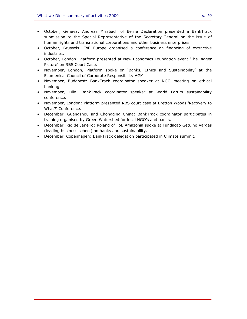- October, Geneva: Andreas Missbach of Berne Declaration presented a BankTrack submission to the Special Representative of the Secretary-General on the issue of human rights and transnational corporations and other business enterprises.
- October, Brussels: FoE Europe organised a conference on financing of extractive industries.
- October, London: Platform presented at New Economics Foundation event 'The Bigger Picture' on RBS Court Case.
- November, London, Platform spoke on 'Banks, Ethics and Sustainability' at the Ecumenical Council of Corporate Responsibility AGM.
- November, Budapest: BankTrack coordinator speaker at NGO meeting on ethical banking.
- November, Lille: BankTrack coordinator speaker at World Forum sustainability conference.
- November, London: Platform presented RBS court case at Bretton Woods 'Recovery to What?' Conference.
- December, Guangzhou and Chongqing China: BankTrack coordinator participates in training organised by Green Watershed for local NGO's and banks.
- December, Rio de Janeiro: Roland of FoE Amazonia spoke at Fundacao Getulho Vargas (leading business school) on banks and sustainability.
- December, Copenhagen; BankTrack delegation participated in Climate summit.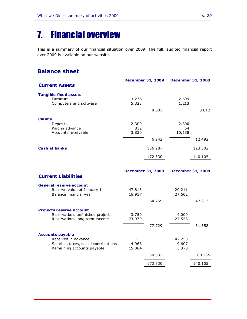# 7. Financial overview

This is a summary of our financial situation over 2009. The full, audited financial report over 2009 is available on our website.

### **Balance sheet**

|                              |       | <b>December 31, 2009</b> | <b>December 31, 2008</b> |         |
|------------------------------|-------|--------------------------|--------------------------|---------|
| <b>Current Assets</b>        |       |                          |                          |         |
| <b>Tangible fixed assets</b> |       |                          |                          |         |
| Furniture                    | 3.278 |                          | 2.599                    |         |
| Computers and software       | 5.323 |                          | 1.213                    |         |
|                              |       | 8.601                    |                          | 3.812   |
| <b>Claims</b>                |       |                          |                          |         |
| Deposits                     | 2.300 |                          | 2.300                    |         |
| Paid in advance              | 812   |                          | 54                       |         |
| Accounts receivable          | 3.830 |                          | 10.138                   |         |
|                              |       | 6.942                    |                          | 12.492  |
| <b>Cash at banks</b>         |       | 156.987                  |                          | 123.802 |
|                              |       | 172.530                  |                          | 140.105 |
|                              |       |                          |                          |         |

|                                       |        | <b>December 31, 2009</b> |        | <b>December 31, 2008</b> |
|---------------------------------------|--------|--------------------------|--------|--------------------------|
| <b>Current Liabilities</b>            |        |                          |        |                          |
| <b>General reserve account</b>        |        |                          |        |                          |
| Reserve value at January 1            | 47.813 |                          | 20.211 |                          |
| Balance financial year                | 16.957 |                          | 27.602 |                          |
|                                       |        | 64.769                   |        | 47.813                   |
| <b>Projects reserve account</b>       |        |                          |        |                          |
| Reservations unfinished projects      | 3.750  |                          | 4.000  |                          |
| Reservations long term income         | 73.979 |                          | 27.558 |                          |
|                                       |        | 77.729                   |        | 31.558                   |
| <b>Accounts payable</b>               |        |                          |        |                          |
| Received in advance                   |        |                          | 47.250 |                          |
| Salaries, taxes, social contributions | 14.968 |                          | 9.607  |                          |
| Remaining accounts payable            | 15.064 |                          | 3.878  |                          |
|                                       |        | 30.031                   |        | 60.735                   |
|                                       |        | 172.530                  |        | 140.105                  |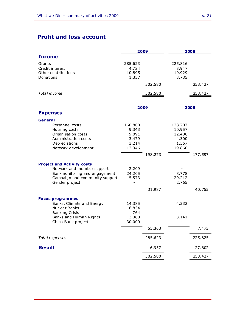# **Profit and loss account**

| <b>Income</b><br>Grants<br>285.623<br>225.816<br>3.947<br>Credit interest<br>4.724<br>Other contributions<br>10.895<br>19.929<br>Donations<br>1.337<br>3.735<br>302.580<br>253.427<br>Total income<br>302.580<br>253.427<br>2008<br>2009<br><b>Expenses</b><br>General<br>Personnel costs<br>160.800<br>128.707<br>Housing costs<br>9.343<br>10.957<br>Organisation costs<br>9.091<br>12.406<br>Administration costs<br>3.479<br>4.300<br>Depreciations<br>3.214<br>1.367<br>Network development<br>12.346<br>19.860<br>198.273<br>177.597<br><b>Project and Activity costs</b><br>Network and member support<br>2.209<br>Bankmonitoring and engagement<br>24.205<br>8.778<br>5.573<br>29.212<br>Campaign and community support<br>Gender project<br>2.765<br>31.987<br>40.755<br><b>Focus programmes</b><br>4.332<br>Banks, Climate and Energy<br>14.385<br>Nuclear Banks<br>6.834<br><b>Banking Crisis</b><br>764<br>Banks and Human Rights<br>3.380<br>3.141<br>China Bank project<br>30.000<br>55.363<br>7.473<br>285.623<br>Total expenses<br>225.825 |               | 2009   | 2008   |
|------------------------------------------------------------------------------------------------------------------------------------------------------------------------------------------------------------------------------------------------------------------------------------------------------------------------------------------------------------------------------------------------------------------------------------------------------------------------------------------------------------------------------------------------------------------------------------------------------------------------------------------------------------------------------------------------------------------------------------------------------------------------------------------------------------------------------------------------------------------------------------------------------------------------------------------------------------------------------------------------------------------------------------------------------------|---------------|--------|--------|
|                                                                                                                                                                                                                                                                                                                                                                                                                                                                                                                                                                                                                                                                                                                                                                                                                                                                                                                                                                                                                                                            |               |        |        |
|                                                                                                                                                                                                                                                                                                                                                                                                                                                                                                                                                                                                                                                                                                                                                                                                                                                                                                                                                                                                                                                            |               |        |        |
|                                                                                                                                                                                                                                                                                                                                                                                                                                                                                                                                                                                                                                                                                                                                                                                                                                                                                                                                                                                                                                                            |               |        |        |
|                                                                                                                                                                                                                                                                                                                                                                                                                                                                                                                                                                                                                                                                                                                                                                                                                                                                                                                                                                                                                                                            |               |        |        |
|                                                                                                                                                                                                                                                                                                                                                                                                                                                                                                                                                                                                                                                                                                                                                                                                                                                                                                                                                                                                                                                            |               |        |        |
|                                                                                                                                                                                                                                                                                                                                                                                                                                                                                                                                                                                                                                                                                                                                                                                                                                                                                                                                                                                                                                                            |               |        |        |
|                                                                                                                                                                                                                                                                                                                                                                                                                                                                                                                                                                                                                                                                                                                                                                                                                                                                                                                                                                                                                                                            |               |        |        |
|                                                                                                                                                                                                                                                                                                                                                                                                                                                                                                                                                                                                                                                                                                                                                                                                                                                                                                                                                                                                                                                            |               |        |        |
|                                                                                                                                                                                                                                                                                                                                                                                                                                                                                                                                                                                                                                                                                                                                                                                                                                                                                                                                                                                                                                                            |               |        |        |
|                                                                                                                                                                                                                                                                                                                                                                                                                                                                                                                                                                                                                                                                                                                                                                                                                                                                                                                                                                                                                                                            |               |        |        |
|                                                                                                                                                                                                                                                                                                                                                                                                                                                                                                                                                                                                                                                                                                                                                                                                                                                                                                                                                                                                                                                            |               |        |        |
|                                                                                                                                                                                                                                                                                                                                                                                                                                                                                                                                                                                                                                                                                                                                                                                                                                                                                                                                                                                                                                                            |               |        |        |
|                                                                                                                                                                                                                                                                                                                                                                                                                                                                                                                                                                                                                                                                                                                                                                                                                                                                                                                                                                                                                                                            |               |        |        |
|                                                                                                                                                                                                                                                                                                                                                                                                                                                                                                                                                                                                                                                                                                                                                                                                                                                                                                                                                                                                                                                            |               |        |        |
|                                                                                                                                                                                                                                                                                                                                                                                                                                                                                                                                                                                                                                                                                                                                                                                                                                                                                                                                                                                                                                                            |               |        |        |
|                                                                                                                                                                                                                                                                                                                                                                                                                                                                                                                                                                                                                                                                                                                                                                                                                                                                                                                                                                                                                                                            |               |        |        |
|                                                                                                                                                                                                                                                                                                                                                                                                                                                                                                                                                                                                                                                                                                                                                                                                                                                                                                                                                                                                                                                            |               |        |        |
|                                                                                                                                                                                                                                                                                                                                                                                                                                                                                                                                                                                                                                                                                                                                                                                                                                                                                                                                                                                                                                                            |               |        |        |
|                                                                                                                                                                                                                                                                                                                                                                                                                                                                                                                                                                                                                                                                                                                                                                                                                                                                                                                                                                                                                                                            |               |        |        |
|                                                                                                                                                                                                                                                                                                                                                                                                                                                                                                                                                                                                                                                                                                                                                                                                                                                                                                                                                                                                                                                            |               |        |        |
|                                                                                                                                                                                                                                                                                                                                                                                                                                                                                                                                                                                                                                                                                                                                                                                                                                                                                                                                                                                                                                                            |               |        |        |
|                                                                                                                                                                                                                                                                                                                                                                                                                                                                                                                                                                                                                                                                                                                                                                                                                                                                                                                                                                                                                                                            |               |        |        |
|                                                                                                                                                                                                                                                                                                                                                                                                                                                                                                                                                                                                                                                                                                                                                                                                                                                                                                                                                                                                                                                            |               |        |        |
|                                                                                                                                                                                                                                                                                                                                                                                                                                                                                                                                                                                                                                                                                                                                                                                                                                                                                                                                                                                                                                                            |               |        |        |
|                                                                                                                                                                                                                                                                                                                                                                                                                                                                                                                                                                                                                                                                                                                                                                                                                                                                                                                                                                                                                                                            |               |        |        |
|                                                                                                                                                                                                                                                                                                                                                                                                                                                                                                                                                                                                                                                                                                                                                                                                                                                                                                                                                                                                                                                            |               |        |        |
|                                                                                                                                                                                                                                                                                                                                                                                                                                                                                                                                                                                                                                                                                                                                                                                                                                                                                                                                                                                                                                                            |               |        |        |
|                                                                                                                                                                                                                                                                                                                                                                                                                                                                                                                                                                                                                                                                                                                                                                                                                                                                                                                                                                                                                                                            |               |        |        |
|                                                                                                                                                                                                                                                                                                                                                                                                                                                                                                                                                                                                                                                                                                                                                                                                                                                                                                                                                                                                                                                            |               |        |        |
|                                                                                                                                                                                                                                                                                                                                                                                                                                                                                                                                                                                                                                                                                                                                                                                                                                                                                                                                                                                                                                                            |               |        |        |
|                                                                                                                                                                                                                                                                                                                                                                                                                                                                                                                                                                                                                                                                                                                                                                                                                                                                                                                                                                                                                                                            |               |        |        |
|                                                                                                                                                                                                                                                                                                                                                                                                                                                                                                                                                                                                                                                                                                                                                                                                                                                                                                                                                                                                                                                            |               |        |        |
|                                                                                                                                                                                                                                                                                                                                                                                                                                                                                                                                                                                                                                                                                                                                                                                                                                                                                                                                                                                                                                                            | <b>Result</b> | 16.957 | 27.602 |
| 302.580<br>253.427                                                                                                                                                                                                                                                                                                                                                                                                                                                                                                                                                                                                                                                                                                                                                                                                                                                                                                                                                                                                                                         |               |        |        |